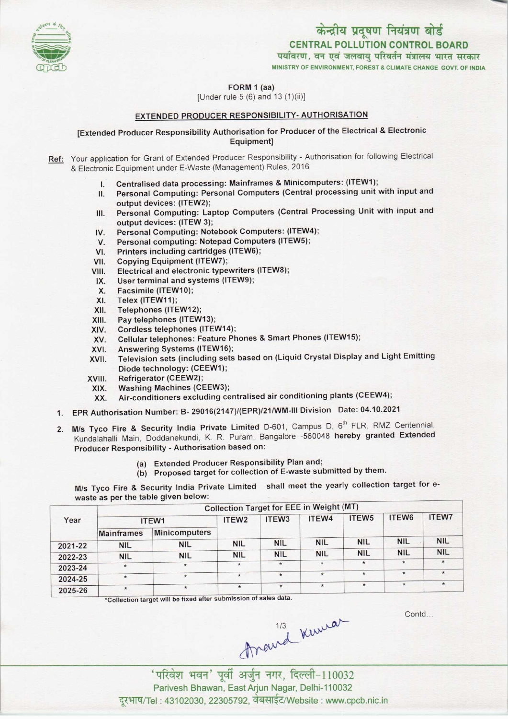

पर्यावरण, वन एवं जलवायु परिवर्तन मंत्रालय भारत सरकार MINISTRY OF ENVIRONMENT, FOREST & CLIMATE CHANGE GOVT. OF INDIA



FORM 1 (aa)

[Under rule 5 (6) and 13 (1)(ii)]

## EXTENDED PRODUCER RESPONSIBILITY- AUTHORISATION

## [Extended Producer Responsibility Authorisation for Producer ofthe Electrical & Electronic Equipment]

Ref: Your application for Grant of Extended Producer Responsibility - Authorisation for following Electrical & Electronic Equipment under E-Waste (Management) Rules, 2016

- 
- I. Centralised data processing: Mainframes & Minicomputers: (ITEW1);<br>II. Personal Computing: Personal Computers (Central processing unit) Personal Computing: Personal Computers (Central processing unit with input and output devices: (ITEW2);
- III. Personal Computing: Laptop Computers (Central Processing Unit with input and output devices: (ITEW 3); III. Personal Computing: Laptop Computers (Central Pi<br>| output devices: (ITEW 3);<br>|V. Personal Computing: Notebook Computers: (ITEW4);
- output devices: (ITEW 3);<br>V. Personal Computing: Notebook Computers: (ITEW<br>V. Personal computing: Notepad Computers (ITEW5);<br>V. Printers including contridues (ITEW6);
- IV. Personal Computing: Notebook Computers: (ITEW4<br>V. Personal computing: Notepad Computers (ITEW5);<br>VI. Printers including cartridges (ITEW6);<br>VII. Copying Equipment (ITEW7);
- VI. Printers including cartridges (ITEW6);<br>VII. Copying Equipment (ITEW7);<br>VIII. Electrical and electronic typewriters (I
- 
- VI. Printers including cartridges (ITEW6);<br>VII. Copying Equipment (ITEW7);<br>VIII. Electrical and electronic typewriters (ITEW8);
- TH. Copying Equipment (TEW7),<br>III. Electrical and electronic typewriters<br>IX. User terminal and systems (ITEW9); IX. User terminal and systems (ITEW9);<br>X. Facsimile (ITEW10);<br>XI. Telex (ITEW11);
- 
- XI. Telex (ITEW11);<br>XII. Telephones (ITE
- XII. Telephones (ITEW12);<br>XIII. Pay telephones (ITEW
- XIII. Pay telephones (ITEW13);<br>XIV. Cordless telephones (ITEV
- 
- XIV. Cordless telephones (ITEW14);<br>XV. Cellular telephones: Feature Ph XIII. Pay telephones (ITEW13);<br>KIV. Cordless telephones (ITEW14);<br>XV. Cellular telephones: Feature Phones & Smart Phones (ITEW15); XIV. Cordiess telephones (ITEW14)<br>XV. Cellular telephones: Feature P<br>XVI. Answering Systems (ITEW16);
- 
- XVI. Answering Systems (ITEW16);<br>XVII. Television sets (including sets based on (Liquid Crystal Display and Light Emitting Diode technology: (CEEW1);
- XVIII. Refrigerator (CEEW2);<br>XIX. Washing Machines (CI
- XIX. Washing Machines (CEEW3);<br>XX. Air-conditioners excluding ce
- Air-conditioners excluding centralised air conditioning plants (CEEW4);
- 1.EPR Authorisation Number: B-29016(2147)/(EPR)/21/WM-lll Division Date: 04.10.2021
- 2. M/s Tyco Fire & Security India Private Limited D-601, Campus D, 6<sup>th</sup> FLR, RMZ Centennial, Kundalahalli Main, Doddanekundi, K. R. Puram, Bangalore -560048 hereby granted Extended Producer Responsibility - Authorisation based on:
	- (a) Extended Producer Responsibility Plan and;
	- (b) Proposed target for collection of E-waste submitted by them.

M/s Tyco Fire & Security India Private Limited shall meet the yearly collection target for ewaste as per the table given below:

|         | <b>Collection Target for EEE in Weight (MT)</b> |                      |                   |                   |            |                   |            |              |  |  |
|---------|-------------------------------------------------|----------------------|-------------------|-------------------|------------|-------------------|------------|--------------|--|--|
| Year    | ITEW1                                           |                      | ITEW <sub>2</sub> | ITEW <sub>3</sub> | ITEW4      | ITEW <sub>5</sub> | ITEW6      | <b>ITEW7</b> |  |  |
|         | <b>Mainframes</b>                               | <b>Minicomputers</b> |                   |                   |            |                   |            |              |  |  |
| 2021-22 | <b>NIL</b>                                      | <b>NIL</b>           | <b>NIL</b>        | <b>NIL</b>        | <b>NIL</b> | <b>NIL</b>        | <b>NIL</b> | <b>NIL</b>   |  |  |
| 2022-23 | <b>NIL</b>                                      | <b>NIL</b>           | <b>NIL</b>        | <b>NIL</b>        | <b>NIL</b> | <b>NIL</b>        | <b>NIL</b> | <b>NIL</b>   |  |  |
| 2023-24 | $\star$                                         | $\star$              | $\star$           | $\star$           | $\star$    | $\star$           | $\star$    | $\star$      |  |  |
| 2024-25 | $\star$                                         | $\star$              | $\star$           | $\star$           | $\star$    | $\star$           | $\star$    | $\star$      |  |  |
| 2025-26 | $\star$                                         | $\star$              | $\star$           | $\star$           | $\star$    | $\star$           | $\star$    | $\star$      |  |  |

\*Collection target will be fixed after submission of sales data.

Contd...

Areurd Kuma

'परिवेश भवन' पूर्वी अर्जुन नगर, दिल्ली-110032 Parivesh Bhawan, EastArjun Nagar, Delhi-110032 दुरभाष/Tel : 43102030, 22305792, वेबसाईट/Website : www.cpcb.nic.in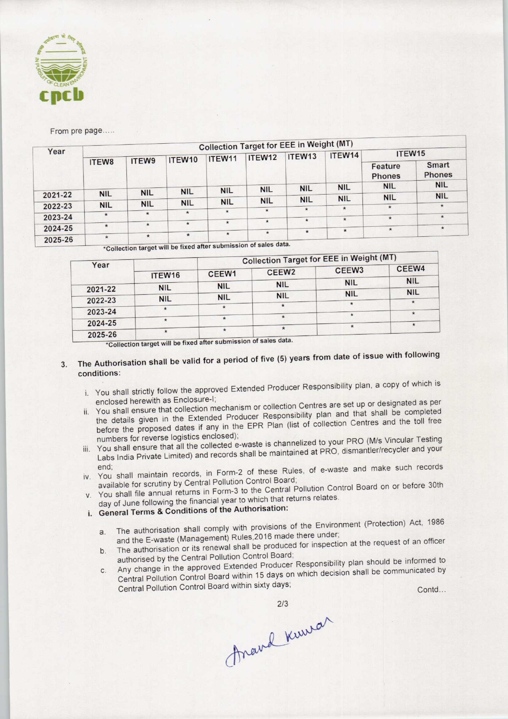

From pre page.....

|         | <b>Collection Target for EEE in Weight (MT)</b> |            |            |            |                                                                                            |                                  |                      |                                        |                               |  |
|---------|-------------------------------------------------|------------|------------|------------|--------------------------------------------------------------------------------------------|----------------------------------|----------------------|----------------------------------------|-------------------------------|--|
| Year    |                                                 |            | ITEW10     | ITEW11     | ITEW12<br><b>NIL</b>                                                                       | ITEW <sub>13</sub><br><b>NIL</b> | ITEW14<br><b>NIL</b> | ITEW15                                 |                               |  |
|         | ITEW8                                           | ITEW9      |            |            |                                                                                            |                                  |                      | Feature<br><b>Phones</b><br><b>NIL</b> | <b>Smart</b><br><b>Phones</b> |  |
|         |                                                 |            |            |            |                                                                                            |                                  |                      |                                        | <b>NIL</b>                    |  |
| 2021-22 | <b>NIL</b>                                      | <b>NIL</b> | <b>NIL</b> | <b>NIL</b> |                                                                                            |                                  |                      | <b>NIL</b>                             | <b>NIL</b>                    |  |
|         | <b>NIL</b>                                      | <b>NIL</b> | <b>NIL</b> | <b>NIL</b> | <b>NIL</b>                                                                                 | <b>NIL</b>                       | <b>NIL</b>           |                                        | $\star$                       |  |
| 2022-23 |                                                 |            | $\star$    | $\star$    | $\star$                                                                                    | $\star$                          | $\star$              | $\star$                                |                               |  |
| 2023-24 | $\star$                                         | $\star$    |            |            |                                                                                            |                                  | $\star$              | $\star$                                | $\star$                       |  |
|         | $\star$                                         | $\star$    | $\star$    | $\star$    | $\star$                                                                                    | $\star$                          |                      |                                        |                               |  |
| 2024-25 |                                                 |            |            |            | $\star$                                                                                    | $\star$                          | $\star$              | $\star$                                | $\star$                       |  |
| 2025-26 | $\star$                                         | $\star$    | $\star$    | $\star$    | $\frac{1}{2}$ actor at $\frac{1}{2}$ and $\frac{1}{2}$ and $\frac{1}{2}$ and $\frac{1}{2}$ |                                  |                      |                                        |                               |  |

^Collection target will be fixed aftersubmission ofsales data. \* \*

|         |            |            |                   | <b>Collection Target for EEE in Weight (MT)</b> |            |
|---------|------------|------------|-------------------|-------------------------------------------------|------------|
| Year    | ITEW16     | CEEW1      | CEEW <sub>2</sub> | CEEW <sub>3</sub>                               | CEEW4      |
| 2021-22 | <b>NIL</b> | <b>NIL</b> | <b>NIL</b>        | <b>NIL</b>                                      | <b>NIL</b> |
|         |            | <b>NIL</b> | <b>NIL</b>        | <b>NIL</b>                                      | <b>NIL</b> |
| 2022-23 | <b>NIL</b> |            |                   |                                                 | $\star$    |
| 2023-24 |            |            |                   |                                                 |            |
| 2024-25 |            |            |                   |                                                 | $\star$    |
| 2025-26 |            |            |                   |                                                 |            |

\*Collection target will be fixed after submission of sales data.

## The Authorisation shall be valid for a period of five (5) years from date of issue with following 3. conditions:

- i. You shall strictly follow the approved Extended Producer Responsibility plan, a copy of which is enclosed herewith as Enclosure-I;
- enclosed herewith as Enclosure-I;<br>or collection or collection mechanism or collection Centres are set up or designated as per You shall ensure that collection mechanism or collection Gentles are set up or designed and that shall be completed the details given in the Extended Producer Responsibility plan and that shall be completed<br>before the proposed dates if any in the EPR Plan (list of collection Centres and the toll free numbers for reverse logistics enclosed);
- numbers for reverse logistics enclosed);<br>in the channelized to your PRO (M/s Vincular Testing You shall ensure that all the collected e-waste is chall lienced to your three (the cordination) Labs India Private Limited) and records shall be maintained at PRO, dismantler/recycler and your<br>end;<br>iv. You shall maintain records, in Form-2 of these Rules, of e-waste and make such records
- available for scrutiny by Central Pollution Control Board;
- v. You shall file annual returns in Form-3 to the Central Pollution Control Board on or before 30th day of June following the financial year to which that returns relates.
- i. General Terms & Conditions of the Authorisation:
	- day of sume following<br>General Terms & Conditions of the Authorisation:<br>Complement (Protection) Act, 1986 and the E-waste (Management) Rules.2016 made there under;
	- a. The authorisation shall comply will provide made there under;<br>
	b. The authorisation or its renewal shall be produced for inspection at the request of an officer<br>
	b. The authorisation or its renewal shall be produced for authorised by the Central Pollution Control Board;
- c. Any change in the approved Extended Producer Responsibility plan should be informed to<br>c. Any change in the approved Extended Producer Responsibility plan should be informed to Central Pollution Control Board within 15 days on which decision shall be communicated by and ensure that content and control Board within 15 days on which decision size that all the proposed dates if any in the EPR Plan (list of collection Central at the proposed dates if any in the EPR Plan (list of collectio nt (Protection) Act, 1986<br>the request of an officer<br>tan should be informed to<br>shall be communicated by<br>Contd...

Anand Kuwar